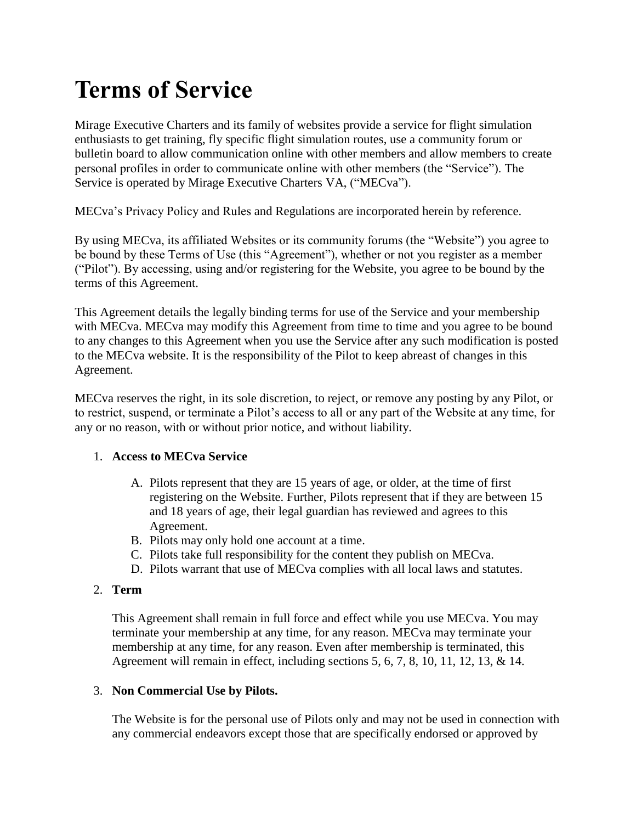# **Terms of Service**

Mirage Executive Charters and its family of websites provide a service for flight simulation enthusiasts to get training, fly specific flight simulation routes, use a community forum or bulletin board to allow communication online with other members and allow members to create personal profiles in order to communicate online with other members (the "Service"). The Service is operated by Mirage Executive Charters VA, ("MECva").

MECva's Privacy Policy and Rules and Regulations are incorporated herein by reference.

By using MECva, its affiliated Websites or its community forums (the "Website") you agree to be bound by these Terms of Use (this "Agreement"), whether or not you register as a member ("Pilot"). By accessing, using and/or registering for the Website, you agree to be bound by the terms of this Agreement.

This Agreement details the legally binding terms for use of the Service and your membership with MECva. MECva may modify this Agreement from time to time and you agree to be bound to any changes to this Agreement when you use the Service after any such modification is posted to the MECva website. It is the responsibility of the Pilot to keep abreast of changes in this Agreement.

MECva reserves the right, in its sole discretion, to reject, or remove any posting by any Pilot, or to restrict, suspend, or terminate a Pilot's access to all or any part of the Website at any time, for any or no reason, with or without prior notice, and without liability.

## 1. **Access to MECva Service**

- A. Pilots represent that they are 15 years of age, or older, at the time of first registering on the Website. Further, Pilots represent that if they are between 15 and 18 years of age, their legal guardian has reviewed and agrees to this Agreement.
- B. Pilots may only hold one account at a time.
- C. Pilots take full responsibility for the content they publish on MECva.
- D. Pilots warrant that use of MECva complies with all local laws and statutes.

# 2. **Term**

This Agreement shall remain in full force and effect while you use MECva. You may terminate your membership at any time, for any reason. MECva may terminate your membership at any time, for any reason. Even after membership is terminated, this Agreement will remain in effect, including sections 5, 6, 7, 8, 10, 11, 12, 13, & 14.

## 3. **Non Commercial Use by Pilots.**

The Website is for the personal use of Pilots only and may not be used in connection with any commercial endeavors except those that are specifically endorsed or approved by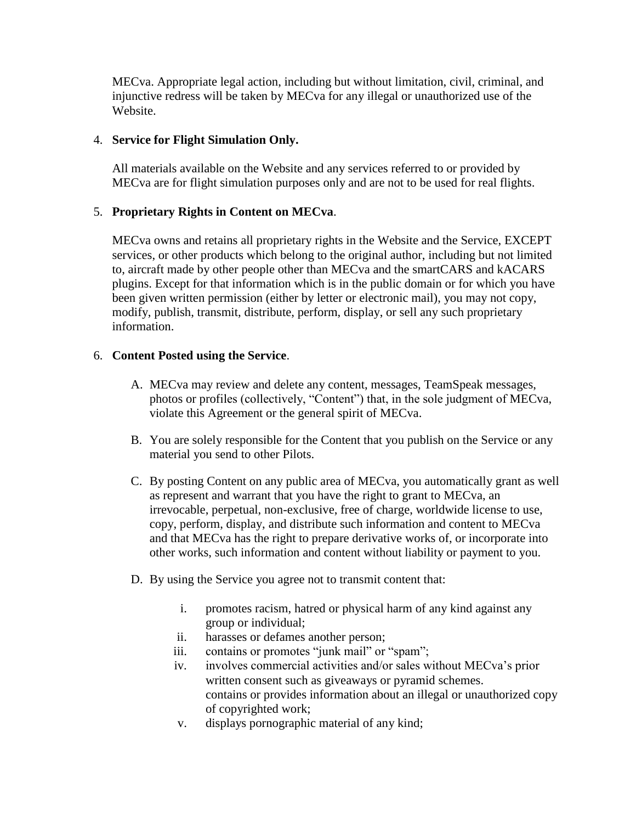MECva. Appropriate legal action, including but without limitation, civil, criminal, and injunctive redress will be taken by MECva for any illegal or unauthorized use of the Website.

#### 4. **Service for Flight Simulation Only.**

All materials available on the Website and any services referred to or provided by MECva are for flight simulation purposes only and are not to be used for real flights.

## 5. **Proprietary Rights in Content on MECva**.

MECva owns and retains all proprietary rights in the Website and the Service, EXCEPT services, or other products which belong to the original author, including but not limited to, aircraft made by other people other than MECva and the smartCARS and kACARS plugins. Except for that information which is in the public domain or for which you have been given written permission (either by letter or electronic mail), you may not copy, modify, publish, transmit, distribute, perform, display, or sell any such proprietary information.

#### 6. **Content Posted using the Service**.

- A. MECva may review and delete any content, messages, TeamSpeak messages, photos or profiles (collectively, "Content") that, in the sole judgment of MECva, violate this Agreement or the general spirit of MECva.
- B. You are solely responsible for the Content that you publish on the Service or any material you send to other Pilots.
- C. By posting Content on any public area of MECva, you automatically grant as well as represent and warrant that you have the right to grant to MECva, an irrevocable, perpetual, non-exclusive, free of charge, worldwide license to use, copy, perform, display, and distribute such information and content to MECva and that MECva has the right to prepare derivative works of, or incorporate into other works, such information and content without liability or payment to you.
- D. By using the Service you agree not to transmit content that:
	- i. promotes racism, hatred or physical harm of any kind against any group or individual;
	- ii. harasses or defames another person;
	- iii. contains or promotes "junk mail" or "spam";
	- iv. involves commercial activities and/or sales without MECva's prior written consent such as giveaways or pyramid schemes. contains or provides information about an illegal or unauthorized copy of copyrighted work;
	- v. displays pornographic material of any kind;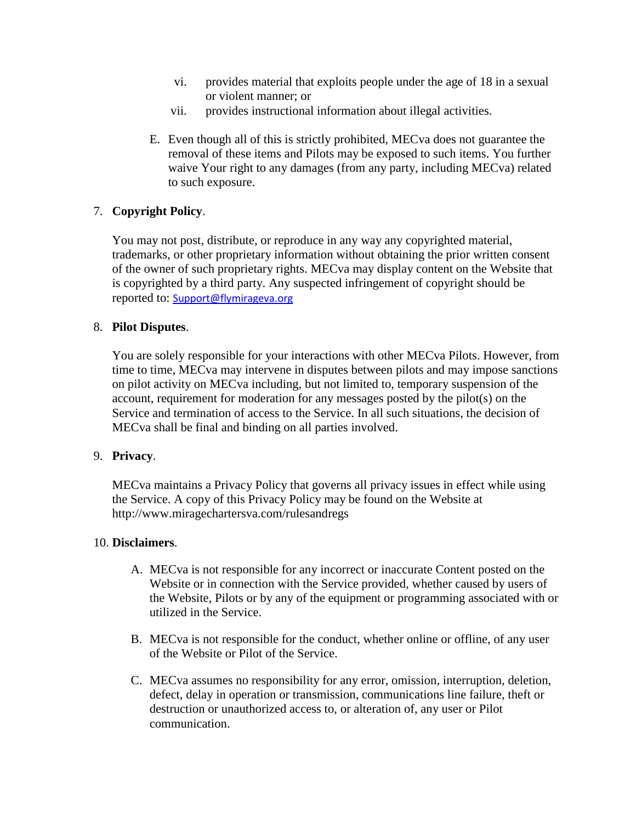- vi. provides material that exploits people under the age of 18 in a sexual or violent manner; or
- vii. provides instructional information about illegal activities.
- E. Even though all of this is strictly prohibited, MECva does not guarantee the removal of these items and Pilots may be exposed to such items. You further waive Your right to any damages (from any party, including MECva) related to such exposure.

# 7. **Copyright Policy**.

You may not post, distribute, or reproduce in any way any copyrighted material, trademarks, or other proprietary information without obtaining the prior written consent of the owner of such proprietary rights. MECva may display content on the Website that is copyrighted by a third party. Any suspected infringement of copyright should be reported to: [Support@flymirageva.org](mailto:support@flymirageva.org)

# 8. **Pilot Disputes**.

You are solely responsible for your interactions with other MECva Pilots. However, from time to time, MECva may intervene in disputes between pilots and may impose sanctions on pilot activity on MECva including, but not limited to, temporary suspension of the account, requirement for moderation for any messages posted by the pilot(s) on the Service and termination of access to the Service. In all such situations, the decision of MECva shall be final and binding on all parties involved.

## 9. **Privacy**.

MECva maintains a Privacy Policy that governs all privacy issues in effect while using the Service. A copy of this Privacy Policy may be found on the Website at http://www.miragechartersva.com/rulesandregs

## 10. **Disclaimers**.

- A. MECva is not responsible for any incorrect or inaccurate Content posted on the Website or in connection with the Service provided, whether caused by users of the Website, Pilots or by any of the equipment or programming associated with or utilized in the Service.
- B. MECva is not responsible for the conduct, whether online or offline, of any user of the Website or Pilot of the Service.
- C. MECva assumes no responsibility for any error, omission, interruption, deletion, defect, delay in operation or transmission, communications line failure, theft or destruction or unauthorized access to, or alteration of, any user or Pilot communication.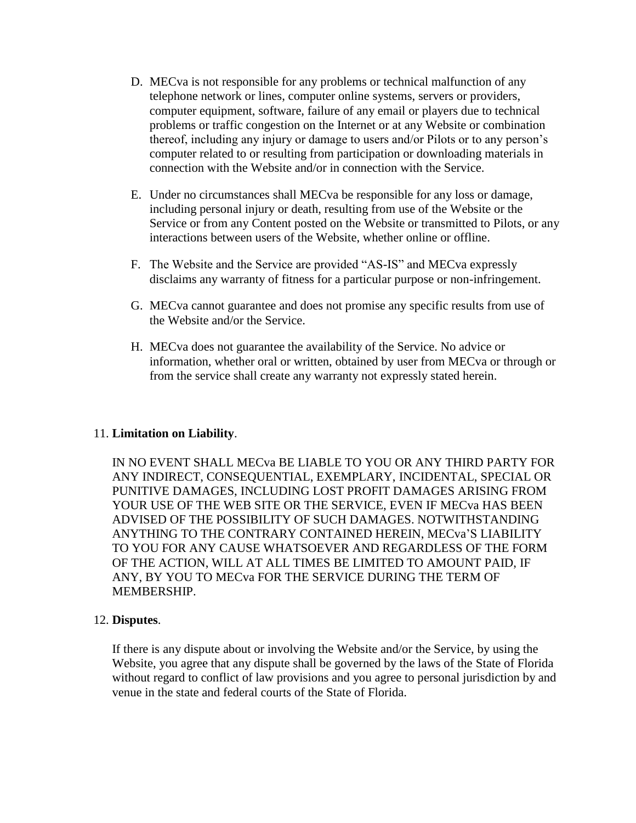- D. MECva is not responsible for any problems or technical malfunction of any telephone network or lines, computer online systems, servers or providers, computer equipment, software, failure of any email or players due to technical problems or traffic congestion on the Internet or at any Website or combination thereof, including any injury or damage to users and/or Pilots or to any person's computer related to or resulting from participation or downloading materials in connection with the Website and/or in connection with the Service.
- E. Under no circumstances shall MECva be responsible for any loss or damage, including personal injury or death, resulting from use of the Website or the Service or from any Content posted on the Website or transmitted to Pilots, or any interactions between users of the Website, whether online or offline.
- F. The Website and the Service are provided "AS-IS" and MECva expressly disclaims any warranty of fitness for a particular purpose or non-infringement.
- G. MECva cannot guarantee and does not promise any specific results from use of the Website and/or the Service.
- H. MECva does not guarantee the availability of the Service. No advice or information, whether oral or written, obtained by user from MECva or through or from the service shall create any warranty not expressly stated herein.

#### 11. **Limitation on Liability**.

IN NO EVENT SHALL MECva BE LIABLE TO YOU OR ANY THIRD PARTY FOR ANY INDIRECT, CONSEQUENTIAL, EXEMPLARY, INCIDENTAL, SPECIAL OR PUNITIVE DAMAGES, INCLUDING LOST PROFIT DAMAGES ARISING FROM YOUR USE OF THE WEB SITE OR THE SERVICE, EVEN IF MECva HAS BEEN ADVISED OF THE POSSIBILITY OF SUCH DAMAGES. NOTWITHSTANDING ANYTHING TO THE CONTRARY CONTAINED HEREIN, MECva'S LIABILITY TO YOU FOR ANY CAUSE WHATSOEVER AND REGARDLESS OF THE FORM OF THE ACTION, WILL AT ALL TIMES BE LIMITED TO AMOUNT PAID, IF ANY, BY YOU TO MECva FOR THE SERVICE DURING THE TERM OF MEMBERSHIP.

#### 12. **Disputes**.

If there is any dispute about or involving the Website and/or the Service, by using the Website, you agree that any dispute shall be governed by the laws of the State of Florida without regard to conflict of law provisions and you agree to personal jurisdiction by and venue in the state and federal courts of the State of Florida.